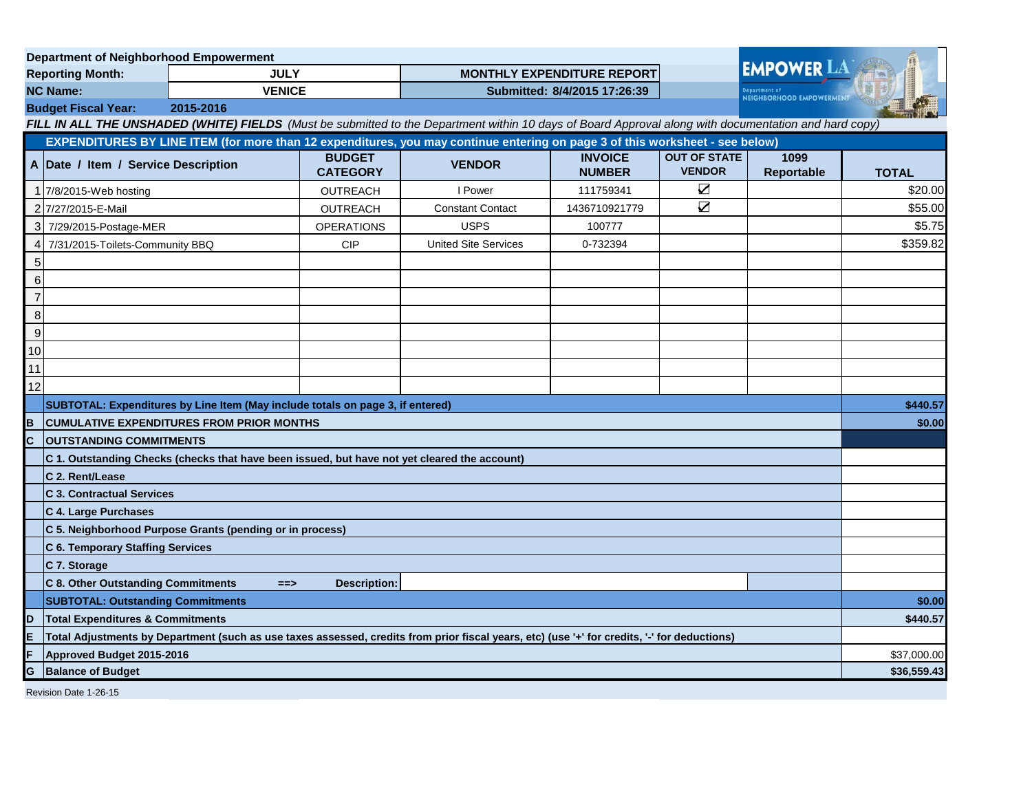| <b>Department of Neighborhood Empowerment</b>                                                                                                         |                                                                                                                                              |               |                                  |                                                                                                                              |                                 |                                      |                                                      |              |
|-------------------------------------------------------------------------------------------------------------------------------------------------------|----------------------------------------------------------------------------------------------------------------------------------------------|---------------|----------------------------------|------------------------------------------------------------------------------------------------------------------------------|---------------------------------|--------------------------------------|------------------------------------------------------|--------------|
| <b>Reporting Month:</b>                                                                                                                               |                                                                                                                                              | <b>JULY</b>   |                                  | <b>MONTHLY EXPENDITURE REPORT</b>                                                                                            |                                 |                                      | <b>EMPOWER LA</b><br><b>NEIGHBORHOOD EMPOWERMENT</b> |              |
| <b>NC Name:</b>                                                                                                                                       |                                                                                                                                              | <b>VENICE</b> |                                  | Submitted: 8/4/2015 17:26:39                                                                                                 |                                 |                                      |                                                      |              |
|                                                                                                                                                       | 2015-2016<br><b>Budget Fiscal Year:</b>                                                                                                      |               |                                  |                                                                                                                              |                                 |                                      |                                                      |              |
| FILL IN ALL THE UNSHADED (WHITE) FIELDS (Must be submitted to the Department within 10 days of Board Approval along with documentation and hard copy) |                                                                                                                                              |               |                                  |                                                                                                                              |                                 |                                      |                                                      |              |
|                                                                                                                                                       |                                                                                                                                              |               |                                  | EXPENDITURES BY LINE ITEM (for more than 12 expenditures, you may continue entering on page 3 of this worksheet - see below) |                                 |                                      |                                                      |              |
|                                                                                                                                                       | A Date / Item / Service Description                                                                                                          |               | <b>BUDGET</b><br><b>CATEGORY</b> | <b>VENDOR</b>                                                                                                                | <b>INVOICE</b><br><b>NUMBER</b> | <b>OUT OF STATE</b><br><b>VENDOR</b> | 1099<br>Reportable                                   | <b>TOTAL</b> |
|                                                                                                                                                       | 1 7/8/2015-Web hosting                                                                                                                       |               | <b>OUTREACH</b>                  | I Power                                                                                                                      | 111759341                       | $\sum_{i=1}^{n}$                     |                                                      | \$20.00      |
|                                                                                                                                                       | 2 7/27/2015-E-Mail                                                                                                                           |               | <b>OUTREACH</b>                  | <b>Constant Contact</b>                                                                                                      | 1436710921779                   | $\triangledown$                      |                                                      | \$55.00      |
| 3                                                                                                                                                     | 7/29/2015-Postage-MER                                                                                                                        |               | <b>OPERATIONS</b>                | <b>USPS</b>                                                                                                                  | 100777                          |                                      |                                                      | \$5.75       |
| 4                                                                                                                                                     | 7/31/2015-Toilets-Community BBQ                                                                                                              |               | <b>CIP</b>                       | <b>United Site Services</b>                                                                                                  | 0-732394                        |                                      |                                                      | \$359.82     |
| 5                                                                                                                                                     |                                                                                                                                              |               |                                  |                                                                                                                              |                                 |                                      |                                                      |              |
| $\,6$                                                                                                                                                 |                                                                                                                                              |               |                                  |                                                                                                                              |                                 |                                      |                                                      |              |
| $\overline{7}$                                                                                                                                        |                                                                                                                                              |               |                                  |                                                                                                                              |                                 |                                      |                                                      |              |
| 8                                                                                                                                                     |                                                                                                                                              |               |                                  |                                                                                                                              |                                 |                                      |                                                      |              |
| $\overline{9}$                                                                                                                                        |                                                                                                                                              |               |                                  |                                                                                                                              |                                 |                                      |                                                      |              |
| 10                                                                                                                                                    |                                                                                                                                              |               |                                  |                                                                                                                              |                                 |                                      |                                                      |              |
| 11                                                                                                                                                    |                                                                                                                                              |               |                                  |                                                                                                                              |                                 |                                      |                                                      |              |
| 12                                                                                                                                                    |                                                                                                                                              |               |                                  |                                                                                                                              |                                 |                                      |                                                      |              |
|                                                                                                                                                       | SUBTOTAL: Expenditures by Line Item (May include totals on page 3, if entered)                                                               |               |                                  |                                                                                                                              |                                 |                                      | \$440.57                                             |              |
| B                                                                                                                                                     | <b>CUMULATIVE EXPENDITURES FROM PRIOR MONTHS</b>                                                                                             |               |                                  |                                                                                                                              |                                 |                                      | \$0.00                                               |              |
| $\overline{c}$                                                                                                                                        | <b>OUTSTANDING COMMITMENTS</b>                                                                                                               |               |                                  |                                                                                                                              |                                 |                                      |                                                      |              |
|                                                                                                                                                       | C 1. Outstanding Checks (checks that have been issued, but have not yet cleared the account)                                                 |               |                                  |                                                                                                                              |                                 |                                      |                                                      |              |
|                                                                                                                                                       | C 2. Rent/Lease                                                                                                                              |               |                                  |                                                                                                                              |                                 |                                      |                                                      |              |
|                                                                                                                                                       | <b>C 3. Contractual Services</b>                                                                                                             |               |                                  |                                                                                                                              |                                 |                                      |                                                      |              |
|                                                                                                                                                       | C 4. Large Purchases                                                                                                                         |               |                                  |                                                                                                                              |                                 |                                      |                                                      |              |
|                                                                                                                                                       | C 5. Neighborhood Purpose Grants (pending or in process)                                                                                     |               |                                  |                                                                                                                              |                                 |                                      |                                                      |              |
|                                                                                                                                                       | <b>C 6. Temporary Staffing Services</b>                                                                                                      |               |                                  |                                                                                                                              |                                 |                                      |                                                      |              |
|                                                                                                                                                       | C 7. Storage                                                                                                                                 |               |                                  |                                                                                                                              |                                 |                                      |                                                      |              |
|                                                                                                                                                       | <b>C 8. Other Outstanding Commitments</b>                                                                                                    | $==$          | <b>Description:</b>              |                                                                                                                              |                                 |                                      |                                                      |              |
|                                                                                                                                                       | <b>SUBTOTAL: Outstanding Commitments</b>                                                                                                     |               |                                  |                                                                                                                              |                                 |                                      | \$0.00                                               |              |
| D                                                                                                                                                     | <b>Total Expenditures &amp; Commitments</b>                                                                                                  |               |                                  |                                                                                                                              |                                 |                                      | \$440.57                                             |              |
| E                                                                                                                                                     | Total Adjustments by Department (such as use taxes assessed, credits from prior fiscal years, etc) (use '+' for credits, '-' for deductions) |               |                                  |                                                                                                                              |                                 |                                      |                                                      |              |
|                                                                                                                                                       | Approved Budget 2015-2016                                                                                                                    |               |                                  |                                                                                                                              |                                 |                                      | \$37,000.00                                          |              |
| G<br><b>Balance of Budget</b>                                                                                                                         |                                                                                                                                              |               |                                  |                                                                                                                              |                                 | \$36,559.43                          |                                                      |              |
| Revision Date 1-26-15                                                                                                                                 |                                                                                                                                              |               |                                  |                                                                                                                              |                                 |                                      |                                                      |              |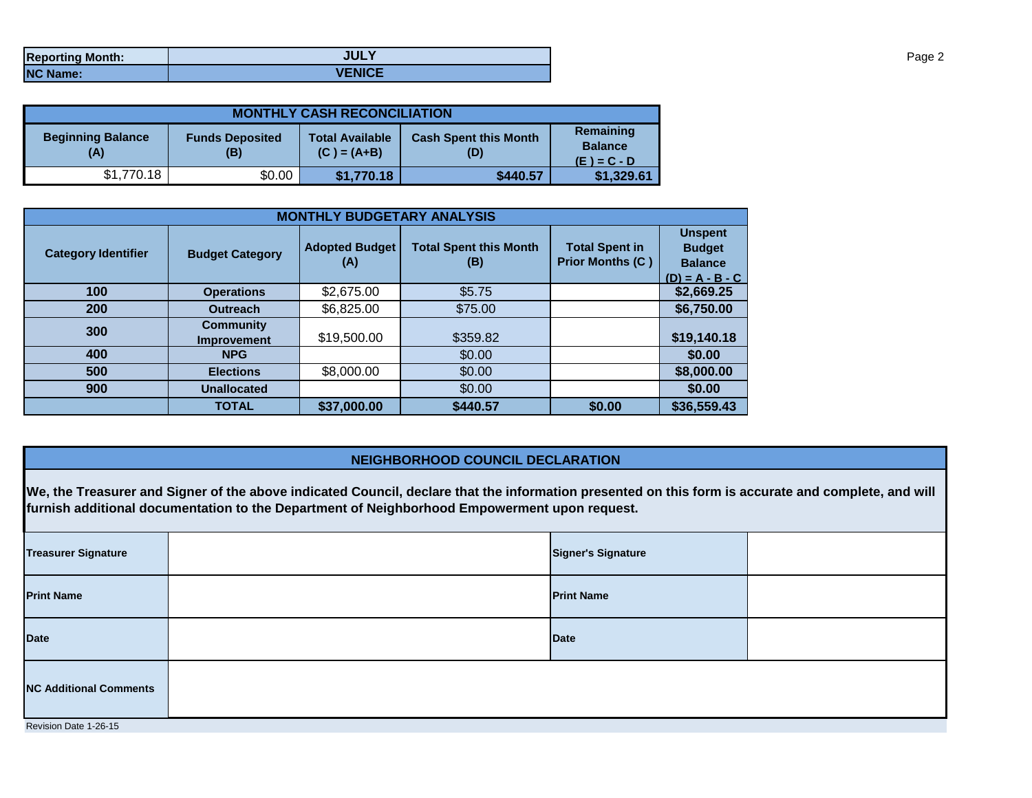| <b>Reporting Month:</b> | <b>JULY</b>   |
|-------------------------|---------------|
| <b>NC Name:</b>         | <b>VENICE</b> |

| <b>MONTHLY CASH RECONCILIATION</b> |                               |                                         |                                     |                                              |  |  |  |
|------------------------------------|-------------------------------|-----------------------------------------|-------------------------------------|----------------------------------------------|--|--|--|
| <b>Beginning Balance</b><br>(A)    | <b>Funds Deposited</b><br>(B) | <b>Total Available</b><br>$(C) = (A+B)$ | <b>Cash Spent this Month</b><br>(D) | Remaining<br><b>Balance</b><br>$(E) = C - D$ |  |  |  |
| \$1,770.18                         | \$0.00                        | \$1,770.18                              | \$440.57                            | \$1,329.61                                   |  |  |  |

| <b>MONTHLY BUDGETARY ANALYSIS</b> |                                        |                              |                                      |                                                  |                                                                        |  |  |
|-----------------------------------|----------------------------------------|------------------------------|--------------------------------------|--------------------------------------------------|------------------------------------------------------------------------|--|--|
| <b>Category Identifier</b>        | <b>Budget Category</b>                 | <b>Adopted Budget</b><br>(A) | <b>Total Spent this Month</b><br>(B) | <b>Total Spent in</b><br><b>Prior Months (C)</b> | <b>Unspent</b><br><b>Budget</b><br><b>Balance</b><br>$(D) = A - B - C$ |  |  |
| 100                               | <b>Operations</b>                      | \$2,675.00                   | \$5.75                               |                                                  | \$2,669.25                                                             |  |  |
| 200                               | <b>Outreach</b>                        | \$6,825.00                   | \$75.00                              |                                                  | \$6,750.00                                                             |  |  |
| 300                               | <b>Community</b><br><b>Improvement</b> | \$19,500.00                  | \$359.82                             |                                                  | \$19,140.18                                                            |  |  |
| 400                               | <b>NPG</b>                             |                              | \$0.00                               |                                                  | \$0.00                                                                 |  |  |
| 500                               | <b>Elections</b>                       | \$8,000.00                   | \$0.00                               |                                                  | \$8,000.00                                                             |  |  |
| 900                               | <b>Unallocated</b>                     |                              | \$0.00                               |                                                  | \$0.00                                                                 |  |  |
|                                   | <b>TOTAL</b>                           | \$37,000.00                  | \$440.57                             | \$0.00                                           | \$36,559.43                                                            |  |  |

## **NEIGHBORHOOD COUNCIL DECLARATION**

**We, the Treasurer and Signer of the above indicated Council, declare that the information presented on this form is accurate and complete, and will furnish additional documentation to the Department of Neighborhood Empowerment upon request.**

| <b>Treasurer Signature</b>    |  | <b>Signer's Signature</b> |  |  |  |
|-------------------------------|--|---------------------------|--|--|--|
| <b>Print Name</b>             |  | <b>Print Name</b>         |  |  |  |
| <b>Date</b>                   |  | <b>Date</b>               |  |  |  |
| <b>NC Additional Comments</b> |  |                           |  |  |  |
| Revision Date 1-26-15         |  |                           |  |  |  |